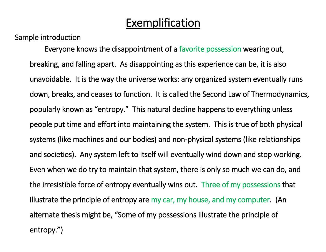### Exemplification

Sample introduction

Everyone knows the disappointment of a favorite possession wearing out, breaking, and falling apart. As disappointing as this experience can be, it is also unavoidable. It is the way the universe works: any organized system eventually runs down, breaks, and ceases to function. It is called the Second Law of Thermodynamics, popularly known as "entropy." This natural decline happens to everything unless people put time and effort into maintaining the system. This is true of both physical systems (like machines and our bodies) and non-physical systems (like relationships and societies). Any system left to itself will eventually wind down and stop working. Even when we do try to maintain that system, there is only so much we can do, and the irresistible force of entropy eventually wins out. Three of my possessions that illustrate the principle of entropy are my car, my house, and my computer. (An alternate thesis might be, "Some of my possessions illustrate the principle of entropy.")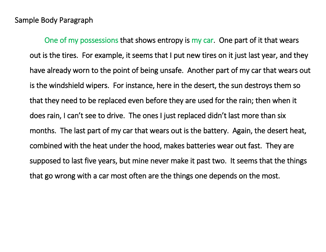One of my possessions that shows entropy is my car. One part of it that wears out is the tires. For example, it seems that I put new tires on it just last year, and they have already worn to the point of being unsafe. Another part of my car that wears out is the windshield wipers. For instance, here in the desert, the sun destroys them so that they need to be replaced even before they are used for the rain; then when it does rain, I can't see to drive. The ones I just replaced didn't last more than six months. The last part of my car that wears out is the battery. Again, the desert heat, combined with the heat under the hood, makes batteries wear out fast. They are supposed to last five years, but mine never make it past two. It seems that the things that go wrong with a car most often are the things one depends on the most.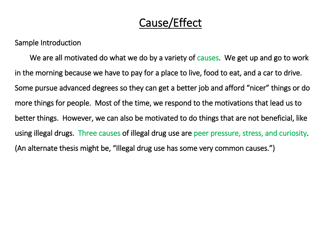# Cause/Effect

Sample Introduction

 We are all motivated do what we do by a variety of causes. We get up and go to work in the morning because we have to pay for a place to live, food to eat, and a car to drive. Some pursue advanced degrees so they can get a better job and afford "nicer" things or do more things for people. Most of the time, we respond to the motivations that lead us to better things. However, we can also be motivated to do things that are not beneficial, like using illegal drugs. Three causes of illegal drug use are peer pressure, stress, and curiosity. (An alternate thesis might be, "Illegal drug use has some very common causes.")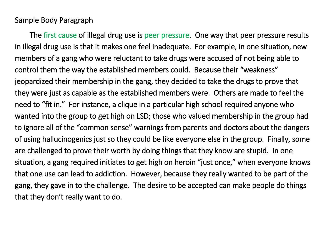The first cause of illegal drug use is peer pressure. One way that peer pressure results in illegal drug use is that it makes one feel inadequate. For example, in one situation, new members of a gang who were reluctant to take drugs were accused of not being able to control them the way the established members could. Because their "weakness" jeopardized their membership in the gang, they decided to take the drugs to prove that they were just as capable as the established members were. Others are made to feel the need to "fit in." For instance, a clique in a particular high school required anyone who wanted into the group to get high on LSD; those who valued membership in the group had to ignore all of the "common sense" warnings from parents and doctors about the dangers of using hallucinogenics just so they could be like everyone else in the group. Finally, some are challenged to prove their worth by doing things that they know are stupid. In one situation, a gang required initiates to get high on heroin "just once," when everyone knows that one use can lead to addiction. However, because they really wanted to be part of the gang, they gave in to the challenge. The desire to be accepted can make people do things that they don't really want to do.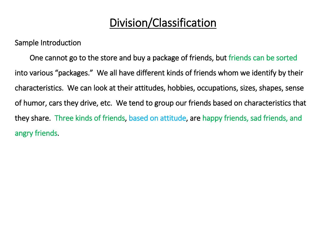# Division/Classification

Sample Introduction

 One cannot go to the store and buy a package of friends, but friends can be sorted into various "packages." We all have different kinds of friends whom we identify by their characteristics. We can look at their attitudes, hobbies, occupations, sizes, shapes, sense of humor, cars they drive, etc. We tend to group our friends based on characteristics that they share. Three kinds of friends, based on attitude, are happy friends, sad friends, and angry friends.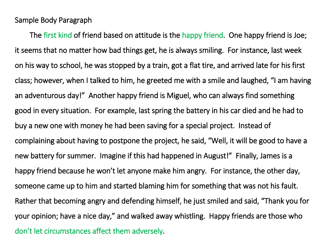The first kind of friend based on attitude is the happy friend. One happy friend is Joe; it seems that no matter how bad things get, he is always smiling. For instance, last week on his way to school, he was stopped by a train, got a flat tire, and arrived late for his first class; however, when I talked to him, he greeted me with a smile and laughed, "I am having an adventurous day!" Another happy friend is Miguel, who can always find something good in every situation. For example, last spring the battery in his car died and he had to buy a new one with money he had been saving for a special project. Instead of complaining about having to postpone the project, he said, "Well, it will be good to have a new battery for summer. Imagine if this had happened in August!" Finally, James is a happy friend because he won't let anyone make him angry. For instance, the other day, someone came up to him and started blaming him for something that was not his fault. Rather that becoming angry and defending himself, he just smiled and said, "Thank you for your opinion; have a nice day," and walked away whistling. Happy friends are those who don't let circumstances affect them adversely.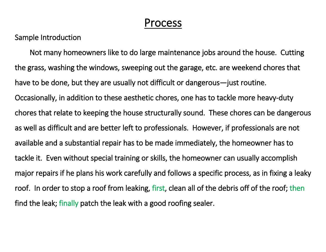### Process

Sample Introduction

 Not many homeowners like to do large maintenance jobs around the house. Cutting the grass, washing the windows, sweeping out the garage, etc. are weekend chores that have to be done, but they are usually not difficult or dangerous—just routine. Occasionally, in addition to these aesthetic chores, one has to tackle more heavy-duty chores that relate to keeping the house structurally sound. These chores can be dangerous as well as difficult and are better left to professionals. However, if professionals are not available and a substantial repair has to be made immediately, the homeowner has to tackle it. Even without special training or skills, the homeowner can usually accomplish major repairs if he plans his work carefully and follows a specific process, as in fixing a leaky roof. In order to stop a roof from leaking, first, clean all of the debris off of the roof; then find the leak; finally patch the leak with a good roofing sealer.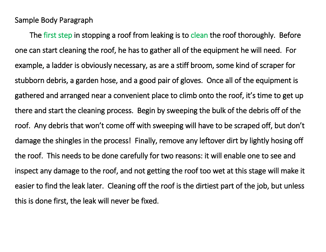The first step in stopping a roof from leaking is to clean the roof thoroughly. Before one can start cleaning the roof, he has to gather all of the equipment he will need. For example, a ladder is obviously necessary, as are a stiff broom, some kind of scraper for stubborn debris, a garden hose, and a good pair of gloves. Once all of the equipment is gathered and arranged near a convenient place to climb onto the roof, it's time to get up there and start the cleaning process. Begin by sweeping the bulk of the debris off of the roof. Any debris that won't come off with sweeping will have to be scraped off, but don't damage the shingles in the process! Finally, remove any leftover dirt by lightly hosing off the roof. This needs to be done carefully for two reasons: it will enable one to see and inspect any damage to the roof, and not getting the roof too wet at this stage will make it easier to find the leak later. Cleaning off the roof is the dirtiest part of the job, but unless this is done first, the leak will never be fixed.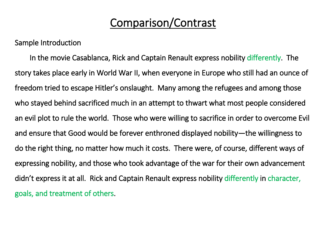### Comparison/Contrast

Sample Introduction

 In the movie Casablanca, Rick and Captain Renault express nobility differently. The story takes place early in World War II, when everyone in Europe who still had an ounce of freedom tried to escape Hitler's onslaught. Many among the refugees and among those who stayed behind sacrificed much in an attempt to thwart what most people considered an evil plot to rule the world. Those who were willing to sacrifice in order to overcome Evil and ensure that Good would be forever enthroned displayed nobility—the willingness to do the right thing, no matter how much it costs. There were, of course, different ways of expressing nobility, and those who took advantage of the war for their own advancement didn't express it at all. Rick and Captain Renault express nobility differently in character, goals, and treatment of others.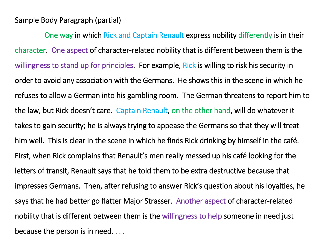#### Sample Body Paragraph (partial)

 One way in which Rick and Captain Renault express nobility differently is in their character. One aspect of character-related nobility that is different between them is the willingness to stand up for principles. For example, Rick is willing to risk his security in order to avoid any association with the Germans. He shows this in the scene in which he refuses to allow a German into his gambling room. The German threatens to report him to the law, but Rick doesn't care. Captain Renault, on the other hand, will do whatever it takes to gain security; he is always trying to appease the Germans so that they will treat him well. This is clear in the scene in which he finds Rick drinking by himself in the café. First, when Rick complains that Renault's men really messed up his café looking for the letters of transit, Renault says that he told them to be extra destructive because that impresses Germans. Then, after refusing to answer Rick's question about his loyalties, he says that he had better go flatter Major Strasser. Another aspect of character-related nobility that is different between them is the willingness to help someone in need just because the person is in need. . . .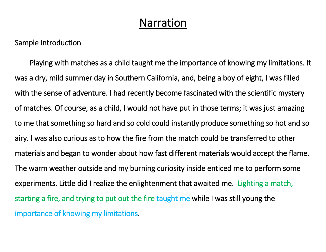### Narration

Sample Introduction

 Playing with matches as a child taught me the importance of knowing my limitations. It was a dry, mild summer day in Southern California, and, being a boy of eight, I was filled with the sense of adventure. I had recently become fascinated with the scientific mystery of matches. Of course, as a child, I would not have put in those terms; it was just amazing to me that something so hard and so cold could instantly produce something so hot and so airy. I was also curious as to how the fire from the match could be transferred to other materials and began to wonder about how fast different materials would accept the flame. The warm weather outside and my burning curiosity inside enticed me to perform some experiments. Little did I realize the enlightenment that awaited me. Lighting a match, starting a fire, and trying to put out the fire taught me while I was still young the importance of knowing my limitations.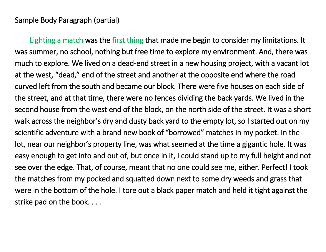#### Sample Body Paragraph (partial)

 Lighting a match was the first thing that made me begin to consider my limitations. It was summer, no school, nothing but free time to explore my environment. And, there was much to explore. We lived on a dead-end street in a new housing project, with a vacant lot at the west, "dead," end of the street and another at the opposite end where the road curved left from the south and became our block. There were five houses on each side of the street, and at that time, there were no fences dividing the back yards. We lived in the second house from the west end of the block, on the north side of the street. It was a short walk across the neighbor's dry and dusty back yard to the empty lot, so I started out on my scientific adventure with a brand new book of "borrowed" matches in my pocket. In the lot, near our neighbor's property line, was what seemed at the time a gigantic hole. It was easy enough to get into and out of, but once in it, I could stand up to my full height and not see over the edge. That, of course, meant that no one could see me, either. Perfect! I took the matches from my pocked and squatted down next to some dry weeds and grass that were in the bottom of the hole. I tore out a black paper match and held it tight against the strike pad on the book. . . .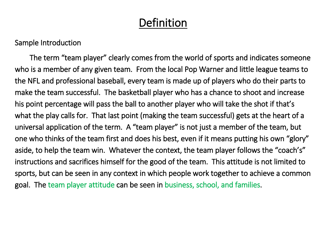## Definition

Sample Introduction

 The term "team player" clearly comes from the world of sports and indicates someone who is a member of any given team. From the local Pop Warner and little league teams to the NFL and professional baseball, every team is made up of players who do their parts to make the team successful. The basketball player who has a chance to shoot and increase his point percentage will pass the ball to another player who will take the shot if that's what the play calls for. That last point (making the team successful) gets at the heart of a universal application of the term. A "team player" is not just a member of the team, but one who thinks of the team first and does his best, even if it means putting his own "glory" aside, to help the team win. Whatever the context, the team player follows the "coach's" instructions and sacrifices himself for the good of the team. This attitude is not limited to sports, but can be seen in any context in which people work together to achieve a common goal. The team player attitude can be seen in business, school, and families.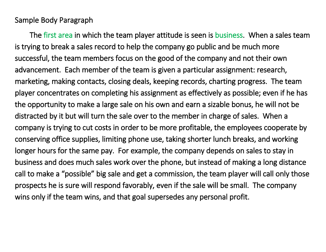The first area in which the team player attitude is seen is business. When a sales team is trying to break a sales record to help the company go public and be much more successful, the team members focus on the good of the company and not their own advancement. Each member of the team is given a particular assignment: research, marketing, making contacts, closing deals, keeping records, charting progress. The team player concentrates on completing his assignment as effectively as possible; even if he has the opportunity to make a large sale on his own and earn a sizable bonus, he will not be distracted by it but will turn the sale over to the member in charge of sales. When a company is trying to cut costs in order to be more profitable, the employees cooperate by conserving office supplies, limiting phone use, taking shorter lunch breaks, and working longer hours for the same pay. For example, the company depends on sales to stay in business and does much sales work over the phone, but instead of making a long distance call to make a "possible" big sale and get a commission, the team player will call only those prospects he is sure will respond favorably, even if the sale will be small. The company wins only if the team wins, and that goal supersedes any personal profit.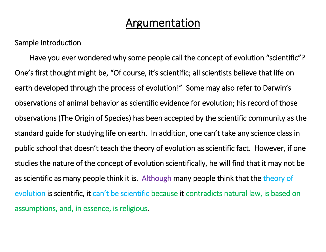### Argumentation

Sample Introduction

 Have you ever wondered why some people call the concept of evolution "scientific"? One's first thought might be, "Of course, it's scientific; all scientists believe that life on earth developed through the process of evolution!" Some may also refer to Darwin's observations of animal behavior as scientific evidence for evolution; his record of those observations (The Origin of Species) has been accepted by the scientific community as the standard guide for studying life on earth. In addition, one can't take any science class in public school that doesn't teach the theory of evolution as scientific fact. However, if one studies the nature of the concept of evolution scientifically, he will find that it may not be as scientific as many people think it is. Although many people think that the theory of evolution is scientific, it can't be scientific because it contradicts natural law, is based on assumptions, and, in essence, is religious.